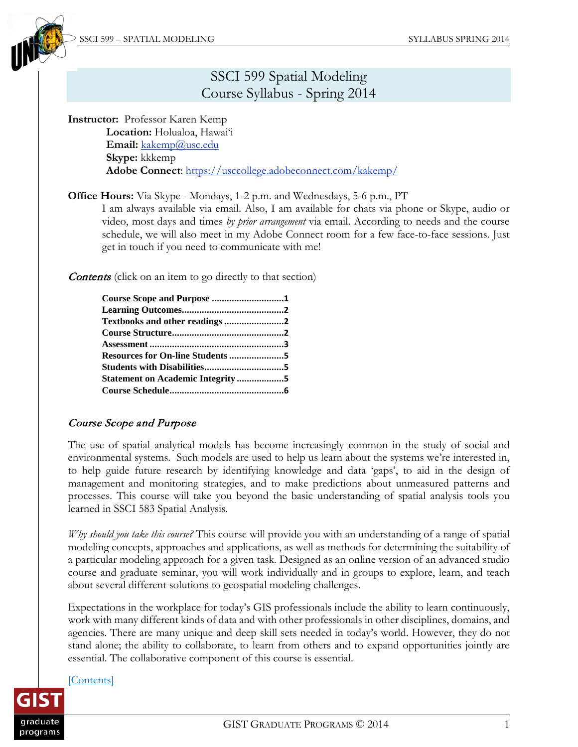

# <span id="page-0-1"></span>SSCI 599 Spatial Modeling Course Syllabus - Spring 2014

#### **Instructor:** Professor Karen Kemp

**Location:** Holualoa, Hawai'i Email: [kakemp@usc.edu](mailto:kakemp@usc.edu) **Skype:** kkkemp **Adobe Connect**:<https://usccollege.adobeconnect.com/kakemp/>

**Office Hours:** Via Skype - Mondays, 1-2 p.m. and Wednesdays, 5-6 p.m., PT

I am always available via email. Also, I am available for chats via phone or Skype, audio or video, most days and times *by prior arrangement* via email. According to needs and the course schedule, we will also meet in my Adobe Connect room for a few face-to-face sessions. Just get in touch if you need to communicate with me!

**Contents** (click on an item to go directly to that section)

| Course Scope and Purpose 1              |  |
|-----------------------------------------|--|
|                                         |  |
| Textbooks and other readings 2          |  |
|                                         |  |
|                                         |  |
|                                         |  |
|                                         |  |
| <b>Statement on Academic Integrity5</b> |  |
|                                         |  |

## <span id="page-0-0"></span>Course Scope and Purpose

The use of spatial analytical models has become increasingly common in the study of social and environmental systems. Such models are used to help us learn about the systems we're interested in, to help guide future research by identifying knowledge and data 'gaps', to aid in the design of management and monitoring strategies, and to make predictions about unmeasured patterns and processes. This course will take you beyond the basic understanding of spatial analysis tools you learned in SSCI 583 Spatial Analysis.

*Why should you take this course?* This course will provide you with an understanding of a range of spatial modeling concepts, approaches and applications, as well as methods for determining the suitability of a particular modeling approach for a given task. Designed as an online version of an advanced studio course and graduate seminar, you will work individually and in groups to explore, learn, and teach about several different solutions to geospatial modeling challenges.

Expectations in the workplace for today's GIS professionals include the ability to learn continuously, work with many different kinds of data and with other professionals in other disciplines, domains, and agencies. There are many unique and deep skill sets needed in today's world. However, they do not stand alone; the ability to collaborate, to learn from others and to expand opportunities jointly are essential. The collaborative component of this course is essential.

#### [\[Contents\]](#page-0-1)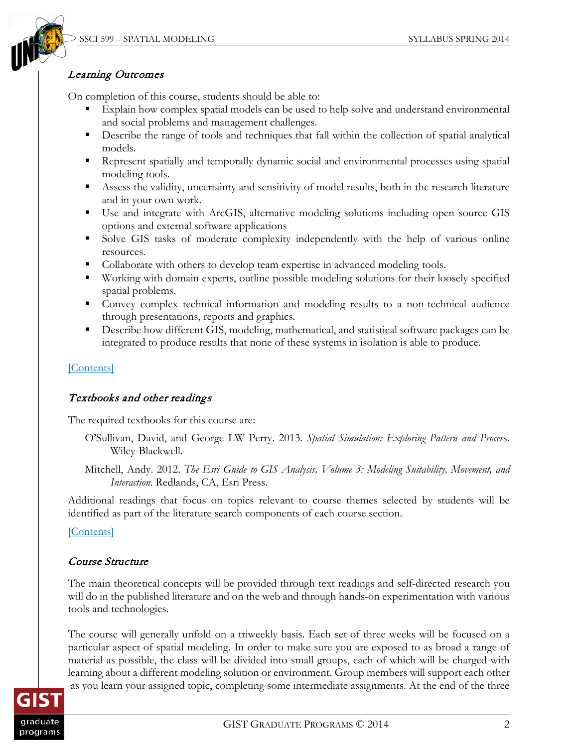

# <span id="page-1-0"></span>Learning Outcomes

On completion of this course, students should be able to:

- Explain how complex spatial models can be used to help solve and understand environmental and social problems and management challenges.
- Describe the range of tools and techniques that fall within the collection of spatial analytical models.
- **Represent spatially and temporally dynamic social and environmental processes using spatial** modeling tools.
- Assess the validity, uncertainty and sensitivity of model results, both in the research literature and in your own work.
- Use and integrate with ArcGIS, alternative modeling solutions including open source GIS options and external software applications
- Solve GIS tasks of moderate complexity independently with the help of various online resources.
- Collaborate with others to develop team expertise in advanced modeling tools.
- Working with domain experts, outline possible modeling solutions for their loosely specified spatial problems.
- Convey complex technical information and modeling results to a non-technical audience through presentations, reports and graphics.
- Describe how different GIS, modeling, mathematical, and statistical software packages can be integrated to produce results that none of these systems in isolation is able to produce.

# [\[Contents\]](#page-0-1)

# <span id="page-1-1"></span>Textbooks and other readings

The required textbooks for this course are:

- O'Sullivan, David, and George LW Perry. 2013. *Spatial Simulation: Exploring Pattern and Proces*s. Wiley-Blackwell.
- Mitchell, Andy. 2012. *The Esri Guide to GIS Analysis, Volume 3: Modeling Suitability, Movement, and Interaction*. Redlands, CA, Esri Press.

Additional readings that focus on topics relevant to course themes selected by students will be identified as part of the literature search components of each course section.

[\[Contents\]](#page-0-1)

# <span id="page-1-2"></span>Course Structure

The main theoretical concepts will be provided through text readings and self-directed research you will do in the published literature and on the web and through hands-on experimentation with various tools and technologies.

The course will generally unfold on a triweekly basis. Each set of three weeks will be focused on a particular aspect of spatial modeling. In order to make sure you are exposed to as broad a range of material as possible, the class will be divided into small groups, each of which will be charged with learning about a different modeling solution or environment. Group members will support each other as you learn your assigned topic, completing some intermediate assignments. At the end of the three

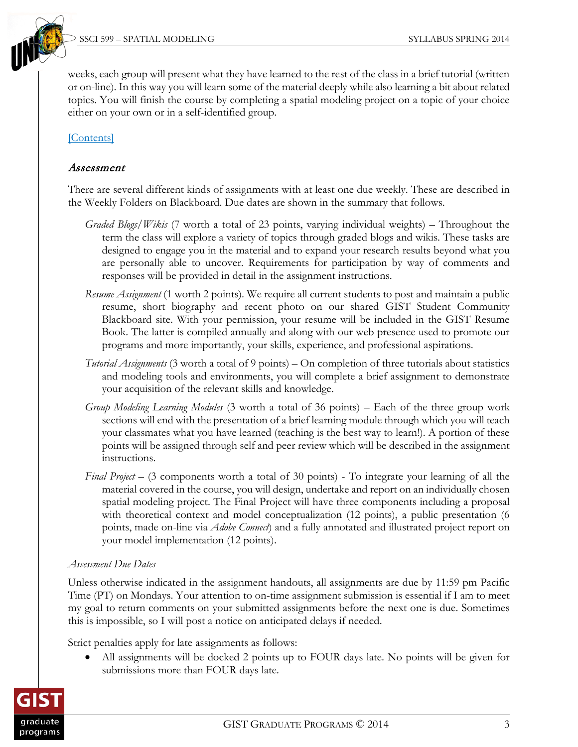weeks, each group will present what they have learned to the rest of the class in a brief tutorial (written or on-line). In this way you will learn some of the material deeply while also learning a bit about related topics. You will finish the course by completing a spatial modeling project on a topic of your choice either on your own or in a self-identified group.

### [\[Contents\]](#page-0-1)

#### <span id="page-2-0"></span>Assessment

There are several different kinds of assignments with at least one due weekly. These are described in the Weekly Folders on Blackboard. Due dates are shown in the summary that follows.

- *Graded Blogs/Wikis* (7 worth a total of 23 points, varying individual weights) Throughout the term the class will explore a variety of topics through graded blogs and wikis. These tasks are designed to engage you in the material and to expand your research results beyond what you are personally able to uncover. Requirements for participation by way of comments and responses will be provided in detail in the assignment instructions.
- *Resume Assignment* (1 worth 2 points). We require all current students to post and maintain a public resume, short biography and recent photo on our shared GIST Student Community Blackboard site. With your permission, your resume will be included in the GIST Resume Book. The latter is compiled annually and along with our web presence used to promote our programs and more importantly, your skills, experience, and professional aspirations.
- *Tutorial Assignments* (3 worth a total of 9 points) On completion of three tutorials about statistics and modeling tools and environments, you will complete a brief assignment to demonstrate your acquisition of the relevant skills and knowledge.
- *Group Modeling Learning Modules* (3 worth a total of 36 points) Each of the three group work sections will end with the presentation of a brief learning module through which you will teach your classmates what you have learned (teaching is the best way to learn!). A portion of these points will be assigned through self and peer review which will be described in the assignment instructions.
- *Final Project* (3 components worth a total of 30 points) To integrate your learning of all the material covered in the course, you will design, undertake and report on an individually chosen spatial modeling project. The Final Project will have three components including a proposal with theoretical context and model conceptualization (12 points), a public presentation (6 points, made on-line via *Adobe Connect*) and a fully annotated and illustrated project report on your model implementation (12 points).

#### *Assessment Due Dates*

Unless otherwise indicated in the assignment handouts, all assignments are due by 11:59 pm Pacific Time (PT) on Mondays. Your attention to on-time assignment submission is essential if I am to meet my goal to return comments on your submitted assignments before the next one is due. Sometimes this is impossible, so I will post a notice on anticipated delays if needed.

Strict penalties apply for late assignments as follows:

• All assignments will be docked 2 points up to FOUR days late. No points will be given for submissions more than FOUR days late.

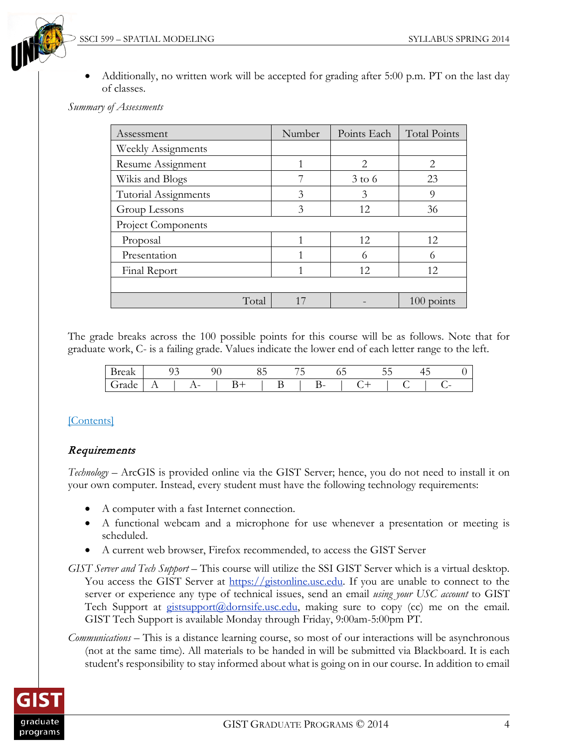

• Additionally, no written work will be accepted for grading after 5:00 p.m. PT on the last day of classes.

*Summary of Assessments*

| Assessment                | Number | Points Each           | <b>Total Points</b> |
|---------------------------|--------|-----------------------|---------------------|
| <b>Weekly Assignments</b> |        |                       |                     |
| Resume Assignment         |        | $\mathcal{D}_{\cdot}$ | 2                   |
| Wikis and Blogs           |        | $3$ to 6              | 23                  |
| Tutorial Assignments      | 3      | 3                     | 9                   |
| Group Lessons             | 3      | 12                    | 36                  |
| Project Components        |        |                       |                     |
| Proposal                  |        | 12                    | 12                  |
| Presentation              |        | 6                     | 6                   |
| Final Report              |        | 12                    | 12                  |
|                           |        |                       |                     |
| Total                     | 17     |                       | $100$ points        |

The grade breaks across the 100 possible points for this course will be as follows. Note that for graduate work, C- is a failing grade. Values indicate the lower end of each letter range to the left.

| сак |                 | $\sim$ |          |  |  |             | υJ | - - | $\overline{\phantom{a}}$ |                          |  |
|-----|-----------------|--------|----------|--|--|-------------|----|-----|--------------------------|--------------------------|--|
|     | д<br><u>. .</u> |        | 1-<br>-- |  |  | $\sim$<br>- |    |     |                          | $\overline{\phantom{0}}$ |  |

## [\[Contents\]](#page-0-1)

## **Requirements**

*Technology –* ArcGIS is provided online via the GIST Server; hence, you do not need to install it on your own computer. Instead, every student must have the following technology requirements:

- A computer with a fast Internet connection.
- A functional webcam and a microphone for use whenever a presentation or meeting is scheduled.
- A current web browser, Firefox recommended, to access the GIST Server
- *GIST Server and Tech Support* This course will utilize the SSI GIST Server which is a virtual desktop. You access the GIST Server at [https://gistonline.usc.edu.](https://gistonline.usc.edu/) If you are unable to connect to the server or experience any type of technical issues, send an email *using your USC account* to GIST Tech Support at  $g$ istsupport $(a)$ dornsife.usc.edu, making sure to copy (cc) me on the email. GIST Tech Support is available Monday through Friday, 9:00am-5:00pm PT.
- *Communications* This is a distance learning course, so most of our interactions will be asynchronous (not at the same time). All materials to be handed in will be submitted via Blackboard. It is each student's responsibility to stay informed about what is going on in our course. In addition to email

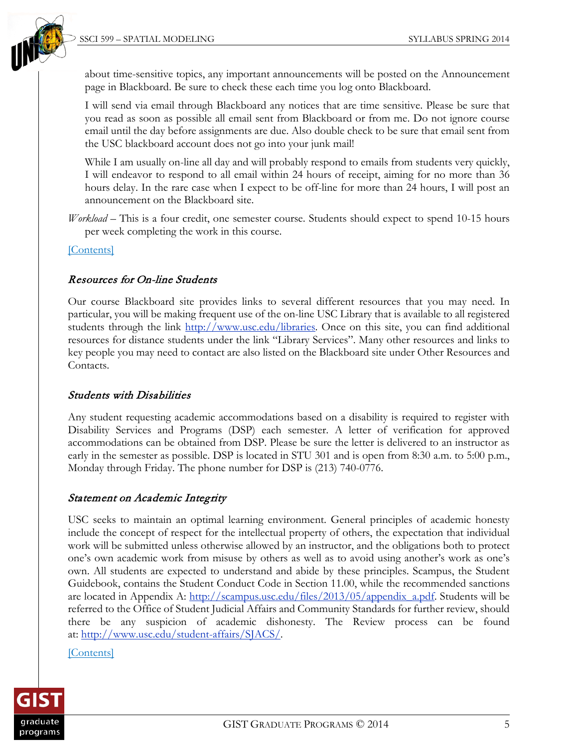

about time-sensitive topics, any important announcements will be posted on the Announcement page in Blackboard. Be sure to check these each time you log onto Blackboard.

I will send via email through Blackboard any notices that are time sensitive. Please be sure that you read as soon as possible all email sent from Blackboard or from me. Do not ignore course email until the day before assignments are due. Also double check to be sure that email sent from the USC blackboard account does not go into your junk mail!

While I am usually on-line all day and will probably respond to emails from students very quickly, I will endeavor to respond to all email within 24 hours of receipt, aiming for no more than 36 hours delay. In the rare case when I expect to be off-line for more than 24 hours, I will post an announcement on the Blackboard site.

*Workload* – This is a four credit, one semester course. Students should expect to spend 10-15 hours per week completing the work in this course.

#### [\[Contents\]](#page-0-1)

### <span id="page-4-0"></span>Resources for On-line Students

Our course Blackboard site provides links to several different resources that you may need. In particular, you will be making frequent use of the on-line USC Library that is available to all registered students through the link [http://www.usc.edu/libraries.](http://www.usc.edu/libraries) Once on this site, you can find additional resources for distance students under the link "Library Services". Many other resources and links to key people you may need to contact are also listed on the Blackboard site under Other Resources and Contacts.

### <span id="page-4-1"></span>Students with Disabilities

Any student requesting academic accommodations based on a disability is required to register with Disability Services and Programs (DSP) each semester. A letter of verification for approved accommodations can be obtained from DSP. Please be sure the letter is delivered to an instructor as early in the semester as possible. DSP is located in STU 301 and is open from 8:30 a.m. to 5:00 p.m., Monday through Friday. The phone number for DSP is (213) 740-0776.

### <span id="page-4-2"></span>Statement on Academic Integrity

USC seeks to maintain an optimal learning environment. General principles of academic honesty include the concept of respect for the intellectual property of others, the expectation that individual work will be submitted unless otherwise allowed by an instructor, and the obligations both to protect one's own academic work from misuse by others as well as to avoid using another's work as one's own. All students are expected to understand and abide by these principles. Scampus, the Student Guidebook, contains the Student Conduct Code in Section 11.00, while the recommended sanctions are located in Appendix A: [http://scampus.usc.edu/files/2013/05/appendix\\_a.pdf.](http://scampus.usc.edu/files/2013/05/appendix_a.pdf) Students will be referred to the Office of Student Judicial Affairs and Community Standards for further review, should there be any suspicion of academic dishonesty. The Review process can be found at: [http://www.usc.edu/student-affairs/SJACS/.](http://www.usc.edu/student-affairs/SJACS/)

#### [\[Contents\]](#page-0-1)